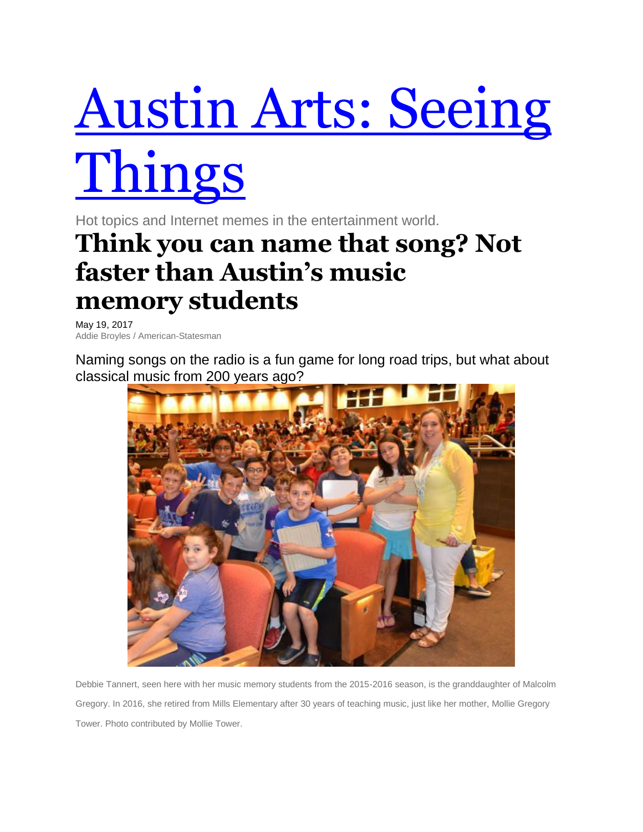## Austin Arts: [Seeing](http://arts.blog.mystatesman.com/) [Things](http://arts.blog.mystatesman.com/)

Hot topics and Internet memes in the entertainment world.

## **Think you can name that song? Not faster than Austin's music memory students**

May 19, 2017 Addie Broyles / American-Statesman

Naming songs on the radio is a fun game for long road trips, but what about classical music from 200 years ago?



Debbie Tannert, seen here with her music memory students from the 2015-2016 season, is the granddaughter of Malcolm Gregory. In 2016, she retired from Mills Elementary after 30 years of teaching music, just like her mother, Mollie Gregory Tower. Photo contributed by Mollie Tower.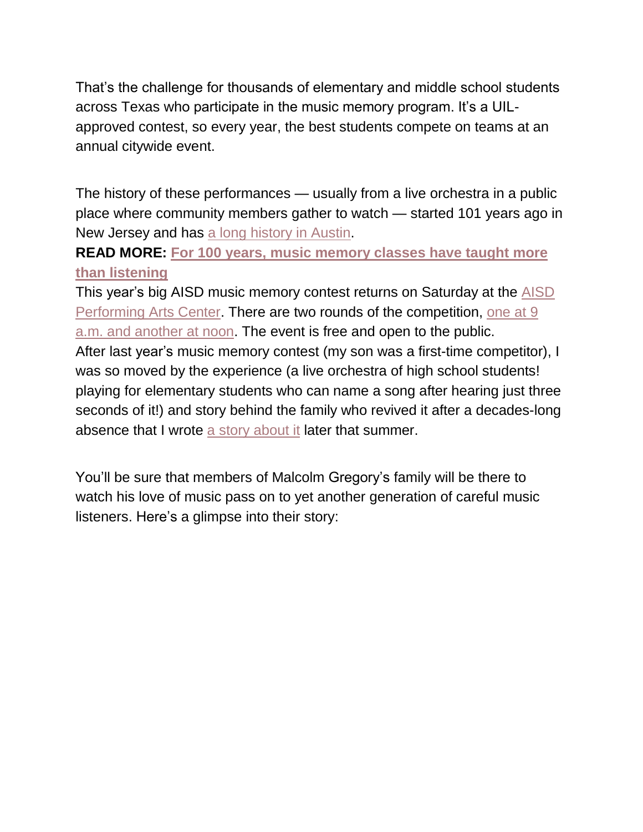That's the challenge for thousands of elementary and middle school students across Texas who participate in the music memory program. It's a UILapproved contest, so every year, the best students compete on teams at an annual citywide event.

The history of these performances — usually from a live orchestra in a public place where community members gather to watch — started 101 years ago in New Jersey and has a long [history](http://www.mystatesman.com/lifestyles/for-100-years-music-memory-classes-have-taught-more-than-listening/c1aUpQC5sYmSM34s8hUpqK/) in Austin.

**READ MORE: For 100 years, music [memory](http://www.mystatesman.com/lifestyles/for-100-years-music-memory-classes-have-taught-more-than-listening/c1aUpQC5sYmSM34s8hUpqK/) classes have taught more than [listening](http://www.mystatesman.com/lifestyles/for-100-years-music-memory-classes-have-taught-more-than-listening/c1aUpQC5sYmSM34s8hUpqK/)**

This year's big AISD music memory contest returns on Saturday at the [AISD](http://www.fineartsaustin.org/directions) [Performing](http://www.fineartsaustin.org/directions) Arts Center. There are two rounds of the competition, [one](http://www.fineartsaustin.org/music-memory-contest) at 9 a.m. and [another](http://www.fineartsaustin.org/music-memory-contest) at noon. The event is free and open to the public.

After last year's music memory contest (my son was a first-time competitor), I was so moved by the experience (a live orchestra of high school students! playing for elementary students who can name a song after hearing just three seconds of it!) and story behind the family who revived it after a decades-long absence that I wrote a story [about](http://www.mystatesman.com/lifestyles/for-100-years-music-memory-classes-have-taught-more-than-listening/c1aUpQC5sYmSM34s8hUpqK/) it later that summer.

You'll be sure that members of Malcolm Gregory's family will be there to watch his love of music pass on to yet another generation of careful music listeners. Here's a glimpse into their story: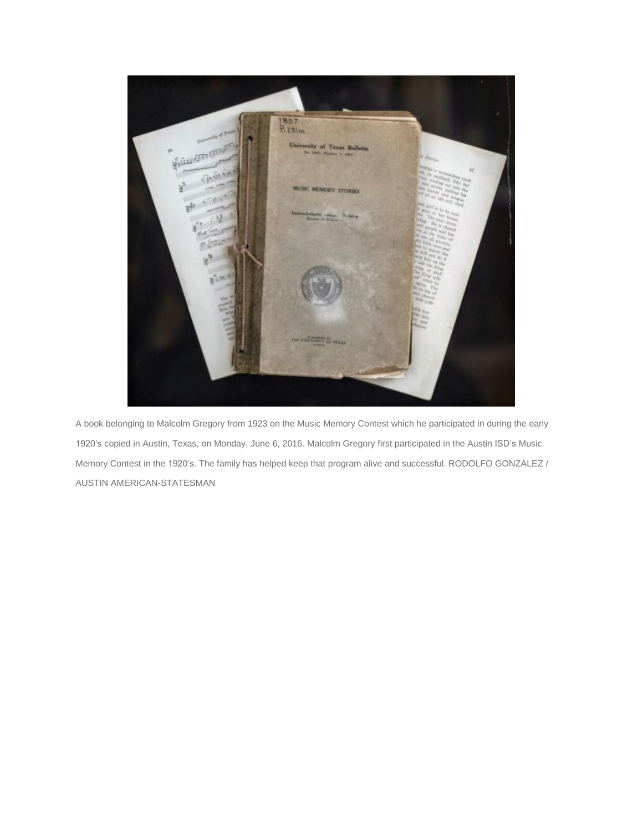

A book belonging to Malcolm Gregory from 1923 on the Music Memory Contest which he participated in during the early 1920's copied in Austin, Texas, on Monday, June 6, 2016. Malcolm Gregory first participated in the Austin ISD's Music Memory Contest in the 1920's. The family has helped keep that program alive and successful. RODOLFO GONZALEZ / AUSTIN AMERICAN-STATESMAN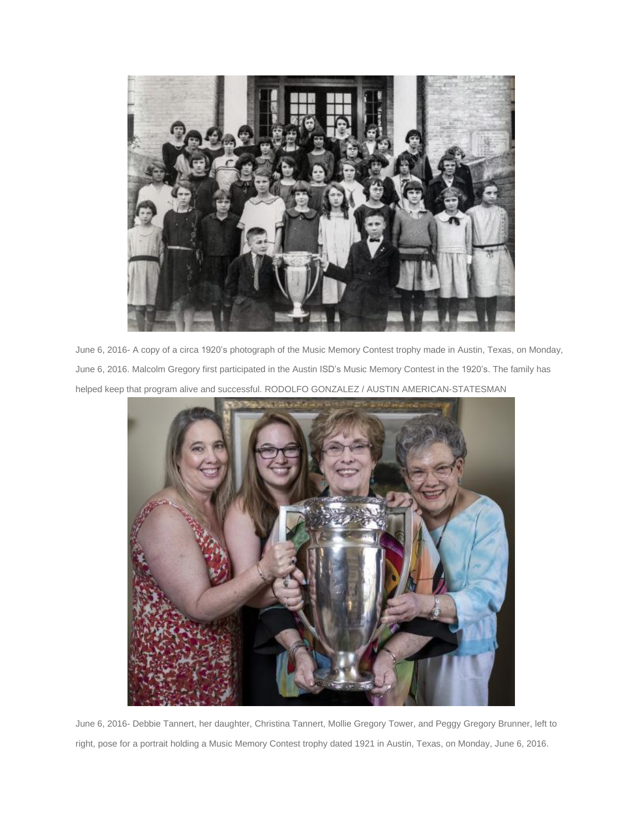

June 6, 2016- A copy of a circa 1920's photograph of the Music Memory Contest trophy made in Austin, Texas, on Monday, June 6, 2016. Malcolm Gregory first participated in the Austin ISD's Music Memory Contest in the 1920's. The family has helped keep that program alive and successful. RODOLFO GONZALEZ / AUSTIN AMERICAN-STATESMAN



June 6, 2016- Debbie Tannert, her daughter, Christina Tannert, Mollie Gregory Tower, and Peggy Gregory Brunner, left to right, pose for a portrait holding a Music Memory Contest trophy dated 1921 in Austin, Texas, on Monday, June 6, 2016.